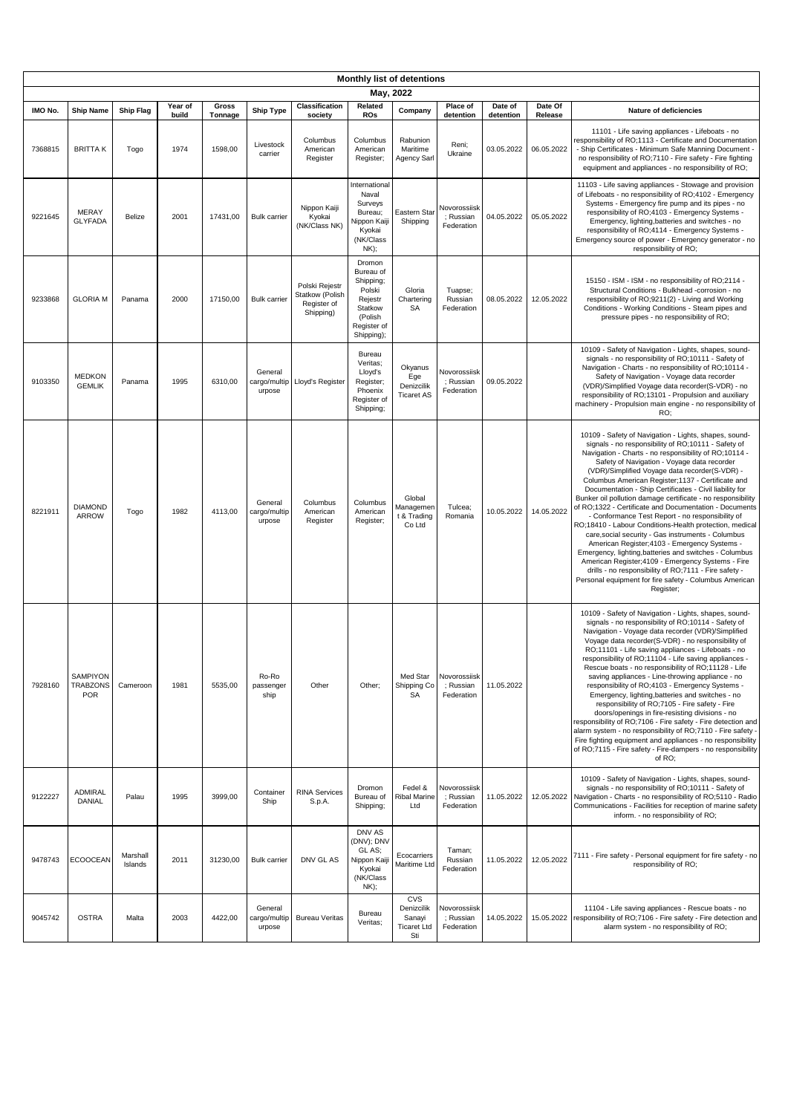| Monthly list of detentions<br>May, 2022 |                                                  |                     |               |                    |                                   |                                                               |                                                                                                          |                                                                 |                                         |                         |                       |                                                                                                                                                                                                                                                                                                                                                                                                                                                                                                                                                                                                                                                                                                                                                                                                                                                                                                                                                                                        |
|-----------------------------------------|--------------------------------------------------|---------------------|---------------|--------------------|-----------------------------------|---------------------------------------------------------------|----------------------------------------------------------------------------------------------------------|-----------------------------------------------------------------|-----------------------------------------|-------------------------|-----------------------|----------------------------------------------------------------------------------------------------------------------------------------------------------------------------------------------------------------------------------------------------------------------------------------------------------------------------------------------------------------------------------------------------------------------------------------------------------------------------------------------------------------------------------------------------------------------------------------------------------------------------------------------------------------------------------------------------------------------------------------------------------------------------------------------------------------------------------------------------------------------------------------------------------------------------------------------------------------------------------------|
| IMO No.                                 | <b>Ship Name</b>                                 | <b>Ship Flag</b>    | Year of       | Gross              | <b>Ship Type</b>                  | <b>Classification</b>                                         | Related                                                                                                  | Company                                                         | Place of                                | Date of                 | Date Of               | Nature of deficiencies                                                                                                                                                                                                                                                                                                                                                                                                                                                                                                                                                                                                                                                                                                                                                                                                                                                                                                                                                                 |
| 7368815                                 | <b>BRITTAK</b>                                   | Togo                | build<br>1974 | Tonnage<br>1598,00 | Livestock<br>carrier              | society<br>Columbus<br>American<br>Register                   | <b>ROs</b><br>Columbus<br>American<br>Register;                                                          | Rabunion<br>Maritime<br>Agency Sarl                             | detention<br>Reni;<br>Ukraine           | detention<br>03.05.2022 | Release<br>06.05.2022 | 11101 - Life saving appliances - Lifeboats - no<br>responsibility of RO;1113 - Certificate and Documentation<br>- Ship Certificates - Minimum Safe Manning Document -<br>no responsibility of RO;7110 - Fire safety - Fire fighting<br>equipment and appliances - no responsibility of RO;                                                                                                                                                                                                                                                                                                                                                                                                                                                                                                                                                                                                                                                                                             |
| 9221645                                 | MERAY<br><b>GLYFADA</b>                          | Belize              | 2001          | 17431.00           | <b>Bulk carrier</b>               | Nippon Kaiji<br>Kyokai<br>(NK/Class NK)                       | International<br>Naval<br>Surveys<br>Bureau;<br>Nippon Kaiji<br>Kyokai<br>(NK/Class<br>NK);              | Eastern Star<br>Shipping                                        | Novorossiisk<br>: Russian<br>Federation | 04.05.2022              | 05.05.2022            | 11103 - Life saving appliances - Stowage and provision<br>of Lifeboats - no responsibility of RO;4102 - Emergency<br>Systems - Emergency fire pump and its pipes - no<br>responsibility of RO;4103 - Emergency Systems -<br>Emergency, lighting, batteries and switches - no<br>responsibility of RO;4114 - Emergency Systems -<br>Emergency source of power - Emergency generator - no<br>responsibility of RO;                                                                                                                                                                                                                                                                                                                                                                                                                                                                                                                                                                       |
| 9233868                                 | <b>GLORIA M</b>                                  | Panama              | 2000          | 17150,00           | <b>Bulk carrier</b>               | Polski Rejestr<br>Statkow (Polish<br>Register of<br>Shipping) | Dromon<br>Bureau of<br>Shipping;<br>Polski<br>Rejestr<br>Statkow<br>(Polish<br>Register of<br>Shipping); | Gloria<br>Chartering<br>SA                                      | Tuapse;<br>Russian<br>Federation        | 08.05.2022              | 12.05.2022            | 15150 - ISM - ISM - no responsibility of RO;2114 -<br>Structural Conditions - Bulkhead -corrosion - no<br>responsibility of RO;9211(2) - Living and Working<br>Conditions - Working Conditions - Steam pipes and<br>pressure pipes - no responsibility of RO;                                                                                                                                                                                                                                                                                                                                                                                                                                                                                                                                                                                                                                                                                                                          |
| 9103350                                 | <b>MEDKON</b><br><b>GEMLIK</b>                   | Panama              | 1995          | 6310,00            | General<br>cargo/multip<br>urpose | Lloyd's Register                                              | Bureau<br>Veritas;<br>Lloyd's<br>Register;<br>Phoenix<br>Register of<br>Shipping;                        | Okyanus<br>Ege<br>Denizcilik<br><b>Ticaret AS</b>               | Novorossiisk<br>; Russian<br>Federation | 09.05.2022              |                       | 10109 - Safety of Navigation - Lights, shapes, sound-<br>signals - no responsibility of RO;10111 - Safety of<br>Navigation - Charts - no responsibility of RO;10114 -<br>Safety of Navigation - Voyage data recorder<br>(VDR)/Simplified Voyage data recorder(S-VDR) - no<br>responsibility of RO;13101 - Propulsion and auxiliary<br>machinery - Propulsion main engine - no responsibility of<br>RO:                                                                                                                                                                                                                                                                                                                                                                                                                                                                                                                                                                                 |
| 8221911                                 | <b>DIAMOND</b><br><b>ARROW</b>                   | Togo                | 1982          | 4113,00            | General<br>cargo/multip<br>urpose | Columbus<br>American<br>Register                              | Columbus<br>American<br>Register;                                                                        | Global<br>Managemen<br>t & Trading<br>Co Ltd                    | Tulcea;<br>Romania                      | 10.05.2022              | 14.05.2022            | 10109 - Safety of Navigation - Lights, shapes, sound-<br>signals - no responsibility of RO;10111 - Safety of<br>Navigation - Charts - no responsibility of RO;10114 -<br>Safety of Navigation - Voyage data recorder<br>(VDR)/Simplified Voyage data recorder(S-VDR) -<br>Columbus American Register; 1137 - Certificate and<br>Documentation - Ship Certificates - Civil liability for<br>Bunker oil pollution damage certificate - no responsibility<br>of RO;1322 - Certificate and Documentation - Documents<br>- Conformance Test Report - no responsibility of<br>RO;18410 - Labour Conditions-Health protection, medical<br>care, social security - Gas instruments - Columbus<br>American Register; 4103 - Emergency Systems -<br>Emergency, lighting, batteries and switches - Columbus<br>American Register; 4109 - Emergency Systems - Fire<br>drills - no responsibility of RO;7111 - Fire safety -<br>Personal equipment for fire safety - Columbus American<br>Register; |
| 7928160                                 | <b>SAMPIYON</b><br><b>TRABZONS</b><br><b>POR</b> | Cameroon            | 1981          | 5535,00            | Ro-Ro<br>passenger<br>ship        | Other                                                         | Other;                                                                                                   | Med Star<br>Shipping Co<br>SA                                   | Novorossiisk<br>: Russian<br>Federation | 11.05.2022              |                       | 10109 - Safety of Navigation - Lights, shapes, sound-<br>signals - no responsibility of RO;10114 - Safety of<br>Navigation - Voyage data recorder (VDR)/Simplified<br>Voyage data recorder(S-VDR) - no responsibility of<br>RO;11101 - Life saving appliances - Lifeboats - no<br>responsibility of RO;11104 - Life saving appliances -<br>Rescue boats - no responsibility of RO;11128 - Life<br>saving appliances - Line-throwing appliance - no<br>responsibility of RO;4103 - Emergency Systems -<br>Emergency, lighting, batteries and switches - no<br>responsibility of RO;7105 - Fire safety - Fire<br>doors/openings in fire-resisting divisions - no<br>responsibility of RO;7106 - Fire safety - Fire detection and<br>alarm system - no responsibility of RO;7110 - Fire safety<br>Fire fighting equipment and appliances - no responsibility<br>of RO;7115 - Fire safety - Fire-dampers - no responsibility<br>of RO:                                                     |
| 9122227                                 | ADMIRAL<br>DANIAL                                | Palau               | 1995          | 3999,00            | Container<br>Ship                 | <b>RINA Services</b><br>S.p.A.                                | Dromon<br>Bureau of<br>Shipping;                                                                         | Fedel &<br>Ribal Marine<br>Ltd                                  | Novorossiisk<br>: Russian<br>Federation | 11.05.2022              | 12.05.2022            | 10109 - Safety of Navigation - Lights, shapes, sound-<br>signals - no responsibility of RO;10111 - Safety of<br>Navigation - Charts - no responsibility of RO;5110 - Radio<br>Communications - Facilities for reception of marine safety<br>inform. - no responsibility of RO;                                                                                                                                                                                                                                                                                                                                                                                                                                                                                                                                                                                                                                                                                                         |
| 9478743                                 | <b>ECOOCEAN</b>                                  | Marshall<br>Islands | 2011          | 31230,00           | <b>Bulk carrier</b>               | DNV GL AS                                                     | DNV AS<br>(DNV); DNV<br>GL AS;<br>Nippon Kaiji<br>Kyokai<br>(NK/Class<br>NK);                            | Ecocarriers<br>Maritime Ltd                                     | Taman;<br>Russian<br>Federation         | 11.05.2022              | 12.05.2022            | 7111 - Fire safety - Personal equipment for fire safety - no<br>responsibility of RO;                                                                                                                                                                                                                                                                                                                                                                                                                                                                                                                                                                                                                                                                                                                                                                                                                                                                                                  |
| 9045742                                 | <b>OSTRA</b>                                     | Malta               | 2003          | 4422,00            | General<br>cargo/multip<br>urpose | <b>Bureau Veritas</b>                                         | Bureau<br>Veritas;                                                                                       | <b>CVS</b><br>Denizcilik<br>Sanayi<br><b>Ticaret Ltd</b><br>Sti | Novorossiisk<br>: Russian<br>Federation | 14.05.2022              | 15.05.2022            | 11104 - Life saving appliances - Rescue boats - no<br>responsibility of RO;7106 - Fire safety - Fire detection and<br>alarm system - no responsibility of RO;                                                                                                                                                                                                                                                                                                                                                                                                                                                                                                                                                                                                                                                                                                                                                                                                                          |